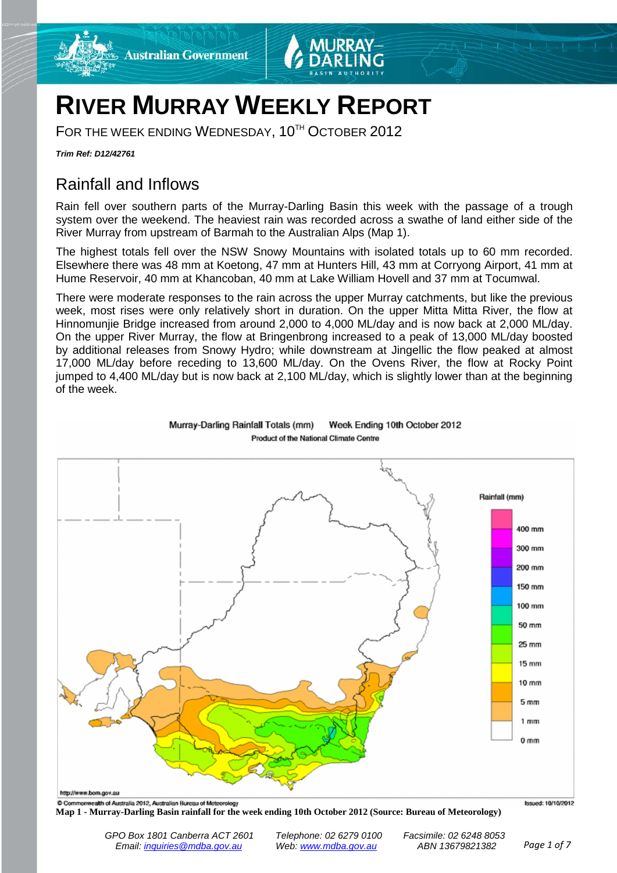

# **RIVER MURRAY WEEKLY REPORT**

FOR THE WEEK ENDING WEDNESDAY, 10<sup>TH</sup> OCTOBER 2012

*Trim Ref: D12/42761*

## Rainfall and Inflows

Rain fell over southern parts of the Murray-Darling Basin this week with the passage of a trough system over the weekend. The heaviest rain was recorded across a swathe of land either side of the River Murray from upstream of Barmah to the Australian Alps (Map 1).

The highest totals fell over the NSW Snowy Mountains with isolated totals up to 60 mm recorded. Elsewhere there was 48 mm at Koetong, 47 mm at Hunters Hill, 43 mm at Corryong Airport, 41 mm at Hume Reservoir, 40 mm at Khancoban, 40 mm at Lake William Hovell and 37 mm at Tocumwal.

There were moderate responses to the rain across the upper Murray catchments, but like the previous week, most rises were only relatively short in duration. On the upper Mitta Mitta River, the flow at Hinnomunjie Bridge increased from around 2,000 to 4,000 ML/day and is now back at 2,000 ML/day. On the upper River Murray, the flow at Bringenbrong increased to a peak of 13,000 ML/day boosted by additional releases from Snowy Hydro; while downstream at Jingellic the flow peaked at almost 17,000 ML/day before receding to 13,600 ML/day. On the Ovens River, the flow at Rocky Point jumped to 4,400 ML/day but is now back at 2,100 ML/day, which is slightly lower than at the beginning of the week.



Week Ending 10th October 2012 Murray-Darling Rainfall Totals (mm) Product of the National Climate Centre

**Map 1 - Murray-Darling Basin rainfall for the week ending 10th October 2012 (Source: Bureau of Meteorology)**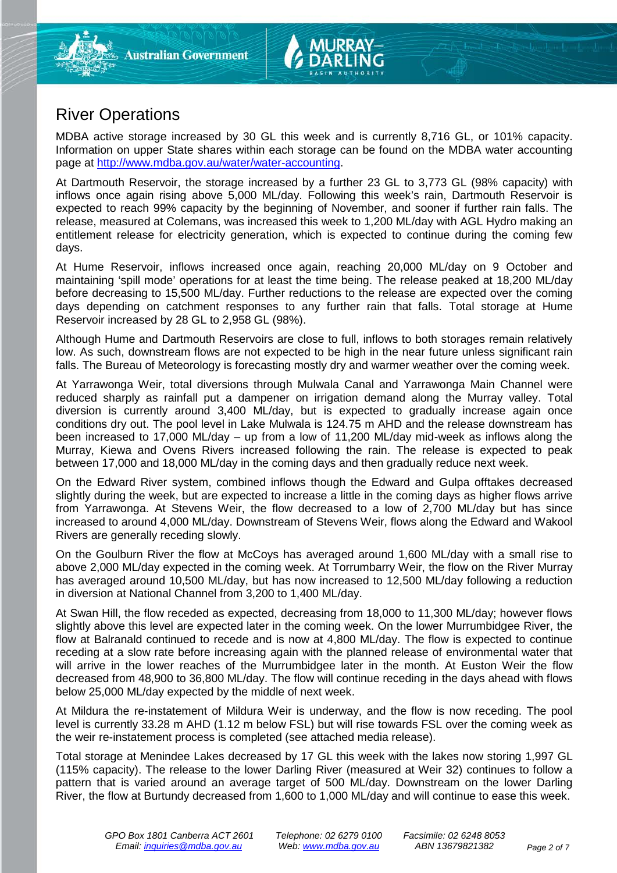

MDBA active storage increased by 30 GL this week and is currently 8,716 GL, or 101% capacity. Information on upper State shares within each storage can be found on the MDBA water accounting page at [http://www.mdba.gov.au/water/water-accounting.](http://www.mdba.gov.au/water/water-accounting)

At Dartmouth Reservoir, the storage increased by a further 23 GL to 3,773 GL (98% capacity) with inflows once again rising above 5,000 ML/day. Following this week's rain, Dartmouth Reservoir is expected to reach 99% capacity by the beginning of November, and sooner if further rain falls. The release, measured at Colemans, was increased this week to 1,200 ML/day with AGL Hydro making an entitlement release for electricity generation, which is expected to continue during the coming few days.

At Hume Reservoir, inflows increased once again, reaching 20,000 ML/day on 9 October and maintaining 'spill mode' operations for at least the time being. The release peaked at 18,200 ML/day before decreasing to 15,500 ML/day. Further reductions to the release are expected over the coming days depending on catchment responses to any further rain that falls. Total storage at Hume Reservoir increased by 28 GL to 2,958 GL (98%).

Although Hume and Dartmouth Reservoirs are close to full, inflows to both storages remain relatively low. As such, downstream flows are not expected to be high in the near future unless significant rain falls. The Bureau of Meteorology is forecasting mostly dry and warmer weather over the coming week.

At Yarrawonga Weir, total diversions through Mulwala Canal and Yarrawonga Main Channel were reduced sharply as rainfall put a dampener on irrigation demand along the Murray valley. Total diversion is currently around 3,400 ML/day, but is expected to gradually increase again once conditions dry out. The pool level in Lake Mulwala is 124.75 m AHD and the release downstream has been increased to 17,000 ML/day – up from a low of 11,200 ML/day mid-week as inflows along the Murray, Kiewa and Ovens Rivers increased following the rain. The release is expected to peak between 17,000 and 18,000 ML/day in the coming days and then gradually reduce next week.

On the Edward River system, combined inflows though the Edward and Gulpa offtakes decreased slightly during the week, but are expected to increase a little in the coming days as higher flows arrive from Yarrawonga. At Stevens Weir, the flow decreased to a low of 2,700 ML/day but has since increased to around 4,000 ML/day. Downstream of Stevens Weir, flows along the Edward and Wakool Rivers are generally receding slowly.

On the Goulburn River the flow at McCoys has averaged around 1,600 ML/day with a small rise to above 2,000 ML/day expected in the coming week. At Torrumbarry Weir, the flow on the River Murray has averaged around 10,500 ML/day, but has now increased to 12,500 ML/day following a reduction in diversion at National Channel from 3,200 to 1,400 ML/day.

At Swan Hill, the flow receded as expected, decreasing from 18,000 to 11,300 ML/day; however flows slightly above this level are expected later in the coming week. On the lower Murrumbidgee River, the flow at Balranald continued to recede and is now at 4,800 ML/day. The flow is expected to continue receding at a slow rate before increasing again with the planned release of environmental water that will arrive in the lower reaches of the Murrumbidgee later in the month. At Euston Weir the flow decreased from 48,900 to 36,800 ML/day. The flow will continue receding in the days ahead with flows below 25,000 ML/day expected by the middle of next week.

At Mildura the re-instatement of Mildura Weir is underway, and the flow is now receding. The pool level is currently 33.28 m AHD (1.12 m below FSL) but will rise towards FSL over the coming week as the weir re-instatement process is completed (see attached media release).

Total storage at Menindee Lakes decreased by 17 GL this week with the lakes now storing 1,997 GL (115% capacity). The release to the lower Darling River (measured at Weir 32) continues to follow a pattern that is varied around an average target of 500 ML/day. Downstream on the lower Darling River, the flow at Burtundy decreased from 1,600 to 1,000 ML/day and will continue to ease this week.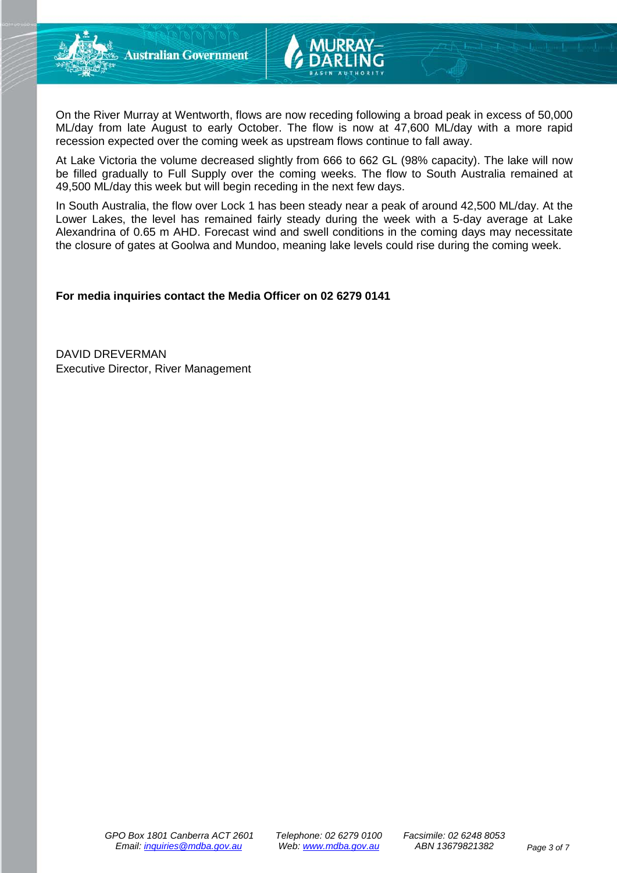



On the River Murray at Wentworth, flows are now receding following a broad peak in excess of 50,000 ML/day from late August to early October. The flow is now at 47,600 ML/day with a more rapid recession expected over the coming week as upstream flows continue to fall away.

At Lake Victoria the volume decreased slightly from 666 to 662 GL (98% capacity). The lake will now be filled gradually to Full Supply over the coming weeks. The flow to South Australia remained at 49,500 ML/day this week but will begin receding in the next few days.

In South Australia, the flow over Lock 1 has been steady near a peak of around 42,500 ML/day. At the Lower Lakes, the level has remained fairly steady during the week with a 5-day average at Lake Alexandrina of 0.65 m AHD. Forecast wind and swell conditions in the coming days may necessitate the closure of gates at Goolwa and Mundoo, meaning lake levels could rise during the coming week.

#### **For media inquiries contact the Media Officer on 02 6279 0141**

DAVID DREVERMAN Executive Director, River Management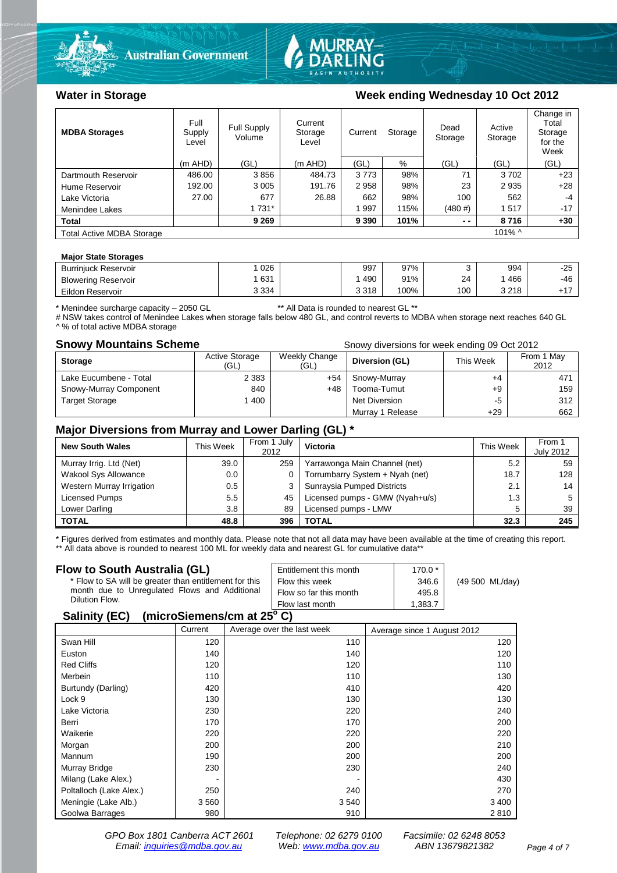



### Water in Storage Week ending Wednesday 10 Oct 2012

| <b>MDBA Storages</b>             | Full<br>Supply<br>Level | <b>Full Supply</b><br>Volume | Current<br>Storage<br>Level | Current | Storage | Dead<br>Storage | Active<br>Storage | Change in<br>Total<br>Storage<br>for the<br>Week |
|----------------------------------|-------------------------|------------------------------|-----------------------------|---------|---------|-----------------|-------------------|--------------------------------------------------|
|                                  | $(m$ AHD)               | (GL)                         | $(m$ AHD)                   | (GL)    | %       | (GL)            | (GL)              | (GL)                                             |
| Dartmouth Reservoir              | 486.00                  | 3856                         | 484.73                      | 3773    | 98%     | 71              | 3702              | $+23$                                            |
| Hume Reservoir                   | 192.00                  | 3 0 0 5                      | 191.76                      | 2958    | 98%     | 23              | 2935              | $+28$                                            |
| Lake Victoria                    | 27.00                   | 677                          | 26.88                       | 662     | 98%     | 100             | 562               | -4                                               |
| Menindee Lakes                   |                         | 1 731*                       |                             | 997     | 115%    | (480#)          | 1517              | $-17$                                            |
| <b>Total</b>                     |                         | 9 2 6 9                      |                             | 9 3 9 0 | 101%    | $ -$            | 8716              | $+30$                                            |
| <b>Total Active MDBA Storage</b> |                         |                              |                             |         |         |                 | $101\%$ ^         |                                                  |

#### **Major State Storages**

| <b>Burrinjuck Reservoir</b> | 026     | 997   | 97%  |     | 994     | -25    |
|-----------------------------|---------|-------|------|-----|---------|--------|
| <b>Blowering Reservoir</b>  | 631     | 490   | 91%  | 24  | 466     | -46    |
| Eildon Reservoir            | 3 3 3 4 | 3 318 | 100% | 100 | 3 2 1 8 | $.4 -$ |

\* Menindee surcharge capacity – 2050 GL \*\* All Data is rounded to nearest GL \*\*

# NSW takes control of Menindee Lakes when storage falls below 480 GL, and control reverts to MDBA when storage next reaches 640 GL A % of total active MDBA storage

**Snowy Mountains Scheme Snowy diversions for week ending 09 Oct 2012** 

| <b>Storage</b>         | <b>Active Storage</b><br>'GL) | Weekly Change<br>(GL) | Diversion (GL)       | This Week | From 1 May<br>2012 |
|------------------------|-------------------------------|-----------------------|----------------------|-----------|--------------------|
| Lake Eucumbene - Total | 2 3 8 3                       | +54                   | Snowy-Murray         | $+4$      | 47'                |
| Snowy-Murray Component | 840                           | +48                   | Tooma-Tumut          | $+9$      | 159                |
| <b>Target Storage</b>  | 1400                          |                       | <b>Net Diversion</b> | -5        | 312                |
|                        |                               |                       | Murray 1 Release     | +29       | 662                |

#### **Major Diversions from Murray and Lower Darling (GL) \***

| <b>New South Wales</b>    | This Week | From 1 July<br>2012 | Victoria                        | This Week | From 1<br><b>July 2012</b> |
|---------------------------|-----------|---------------------|---------------------------------|-----------|----------------------------|
| Murray Irrig. Ltd (Net)   | 39.0      | 259                 | Yarrawonga Main Channel (net)   | 5.2       | 59                         |
| Wakool Sys Allowance      | 0.0       |                     | Torrumbarry System + Nyah (net) | 18.7      | 128                        |
| Western Murray Irrigation | 0.5       |                     | Sunraysia Pumped Districts      | 2.1       | 14                         |
| Licensed Pumps            | 5.5       | 45                  | Licensed pumps - GMW (Nyah+u/s) | 1.3       |                            |
| Lower Darling             | 3.8       | 89                  | Licensed pumps - LMW            | 5         | 39                         |
| <b>TOTAL</b>              | 48.8      | 396                 | TOTAL                           | 32.3      | 245                        |

\* Figures derived from estimates and monthly data. Please note that not all data may have been available at the time of creating this report.

\*\* All data above is rounded to nearest 100 ML for weekly data and nearest GL for cumulative data\*\*

| Flow to South Australia (GL)                                                                                              | Entitlement this month | $170.0*$ |                 |
|---------------------------------------------------------------------------------------------------------------------------|------------------------|----------|-----------------|
| * Flow to SA will be greater than entitlement for this<br>month due to Unregulated Flows and Additional<br>Dilution Flow. | Flow this week         | 346.6    | (49 500 ML/day) |
|                                                                                                                           | Flow so far this month | 495.8    |                 |
|                                                                                                                           | Flow last month        | 1.383.7  |                 |
| $\mathbf{A}$ , $\mathbf{B}$ , $\mathbf{A}$ , $\mathbf{B}$                                                                 |                        |          |                 |

#### **Salinity (EC) (microSiemens/cm at 25o C)**

|                         | Current | Average over the last week | Average since 1 August 2012 |
|-------------------------|---------|----------------------------|-----------------------------|
| Swan Hill               | 120     | 110                        | 120                         |
| Euston                  | 140     | 140                        | 120                         |
| <b>Red Cliffs</b>       | 120     | 120                        | 110                         |
| Merbein                 | 110     | 110                        | 130                         |
| Burtundy (Darling)      | 420     | 410                        | 420                         |
| Lock 9                  | 130     | 130                        | 130                         |
| Lake Victoria           | 230     | 220                        | 240                         |
| Berri                   | 170     | 170                        | 200                         |
| Waikerie                | 220     | 220                        | 220                         |
| Morgan                  | 200     | 200                        | 210                         |
| Mannum                  | 190     | 200                        | 200                         |
| Murray Bridge           | 230     | 230                        | 240                         |
| Milang (Lake Alex.)     |         |                            | 430                         |
| Poltalloch (Lake Alex.) | 250     | 240                        | 270                         |
| Meningie (Lake Alb.)    | 3 5 6 0 | 3 5 4 0                    | 3 4 0 0                     |
| Goolwa Barrages         | 980     | 910                        | 2810                        |

*GPO Box 1801 Canberra ACT 2601 Telephone: 02 6279 0100 Facsimile: 02 6248 8053 Email: [inquiries@mdba.gov.au](mailto:inquiries@mdba.gov.au) Web: [www.mdba.gov.au](http://www.mdba.gov.au/) ABN 13679821382 Page 4 of 7*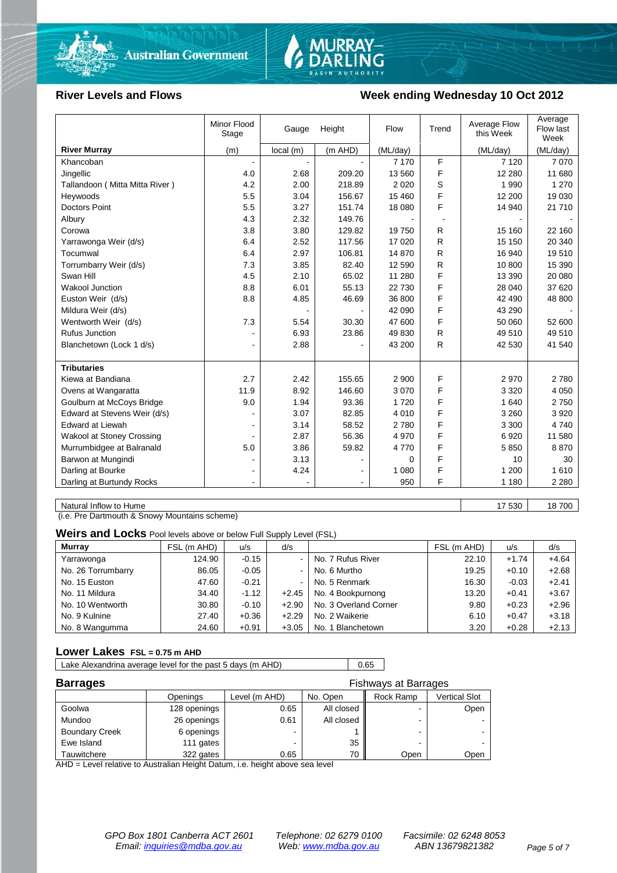



#### River Levels and Flows **Week ending Wednesday 10 Oct 2012**

|                                | Minor Flood<br>Stage | Gauge    | Height  | Flow     | Trend | Average Flow<br>this Week | Average<br>Flow last<br>Week |
|--------------------------------|----------------------|----------|---------|----------|-------|---------------------------|------------------------------|
| <b>River Murray</b>            | (m)                  | local(m) | (m AHD) | (ML/day) |       | (ML/day)                  | (ML/day)                     |
| Khancoban                      |                      |          |         | 7 1 7 0  | F     | 7 1 2 0                   | 7 0 7 0                      |
| Jingellic                      | 4.0                  | 2.68     | 209.20  | 13 560   | F     | 12 2 8 0                  | 11 680                       |
| Tallandoon (Mitta Mitta River) | 4.2                  | 2.00     | 218.89  | 2 0 2 0  | S     | 1 9 9 0                   | 1 2 7 0                      |
| Heywoods                       | 5.5                  | 3.04     | 156.67  | 15 460   | F     | 12 200                    | 19 0 30                      |
| <b>Doctors Point</b>           | 5.5                  | 3.27     | 151.74  | 18 080   | F     | 14 940                    | 21 710                       |
| Albury                         | 4.3                  | 2.32     | 149.76  |          |       |                           |                              |
| Corowa                         | 3.8                  | 3.80     | 129.82  | 19750    | R     | 15 160                    | 22 160                       |
| Yarrawonga Weir (d/s)          | 6.4                  | 2.52     | 117.56  | 17 0 20  | R     | 15 150                    | 20 340                       |
| Tocumwal                       | 6.4                  | 2.97     | 106.81  | 14 870   | R     | 16 940                    | 19510                        |
| Torrumbarry Weir (d/s)         | 7.3                  | 3.85     | 82.40   | 12 590   | R     | 10 800                    | 15 390                       |
| Swan Hill                      | 4.5                  | 2.10     | 65.02   | 11 280   | F     | 13 390                    | 20 080                       |
| <b>Wakool Junction</b>         | 8.8                  | 6.01     | 55.13   | 22 730   | F     | 28 040                    | 37 620                       |
| Euston Weir (d/s)              | 8.8                  | 4.85     | 46.69   | 36 800   | F     | 42 490                    | 48 800                       |
| Mildura Weir (d/s)             |                      |          |         | 42 090   | F     | 43 290                    |                              |
| Wentworth Weir (d/s)           | 7.3                  | 5.54     | 30.30   | 47 600   | F     | 50 060                    | 52 600                       |
| <b>Rufus Junction</b>          |                      | 6.93     | 23.86   | 49 830   | R     | 49 510                    | 49 510                       |
| Blanchetown (Lock 1 d/s)       | ۰                    | 2.88     |         | 43 200   | R     | 42 530                    | 41 540                       |
|                                |                      |          |         |          |       |                           |                              |
| <b>Tributaries</b>             |                      |          |         |          |       |                           |                              |
| Kiewa at Bandiana              | 2.7                  | 2.42     | 155.65  | 2 9 0 0  | F     | 2970                      | 2780                         |
| Ovens at Wangaratta            | 11.9                 | 8.92     | 146.60  | 3 0 7 0  | F     | 3 3 2 0                   | 4 0 5 0                      |
| Goulburn at McCoys Bridge      | 9.0                  | 1.94     | 93.36   | 1720     | F     | 1 640                     | 2750                         |
| Edward at Stevens Weir (d/s)   |                      | 3.07     | 82.85   | 4 0 1 0  | F     | 3 2 6 0                   | 3920                         |
| <b>Edward at Liewah</b>        |                      | 3.14     | 58.52   | 2780     | F     | 3 3 0 0                   | 4740                         |
| Wakool at Stoney Crossing      |                      | 2.87     | 56.36   | 4 9 7 0  | F     | 6920                      | 11 580                       |
| Murrumbidgee at Balranald      | 5.0                  | 3.86     | 59.82   | 4770     | F     | 5850                      | 8870                         |
| Barwon at Mungindi             |                      | 3.13     |         | 0        | F     | 10                        | 30                           |
| Darling at Bourke              | $\blacksquare$       | 4.24     |         | 1 0 8 0  | F     | 1 200                     | 1610                         |
| Darling at Burtundy Rocks      |                      |          |         | 950      | F     | 1 1 8 0                   | 2 2 8 0                      |

Natural Inflow to Hume 17 530 18 700

(i.e. Pre Dartmouth & Snowy Mountains scheme)

**Weirs and Locks** Pool levels above or below Full Supply Level (FSL)

| <b>Murray</b>      | FSL (m AHD) | u/s     | d/s            |                       | FSL (m AHD) | u/s     | d/s     |
|--------------------|-------------|---------|----------------|-----------------------|-------------|---------|---------|
| Yarrawonga         | 124.90      | $-0.15$ | $\blacksquare$ | No. 7 Rufus River     | 22.10       | $+1.74$ | $+4.64$ |
| No. 26 Torrumbarry | 86.05       | $-0.05$ | $\sim$         | No. 6 Murtho          | 19.25       | $+0.10$ | $+2.68$ |
| No. 15 Euston      | 47.60       | $-0.21$ | $\blacksquare$ | No. 5 Renmark         | 16.30       | $-0.03$ | $+2.41$ |
| No. 11 Mildura     | 34.40       | $-1.12$ | $+2.45$        | No. 4 Bookpurnong     | 13.20       | $+0.41$ | $+3.67$ |
| No. 10 Wentworth   | 30.80       | $-0.10$ | $+2.90$        | No. 3 Overland Corner | 9.80        | $+0.23$ | $+2.96$ |
| No. 9 Kulnine      | 27.40       | $+0.36$ | $+2.29$        | No. 2 Waikerie        | 6.10        | $+0.47$ | $+3.18$ |
| No. 8 Wangumma     | 24.60       | $+0.91$ | $+3.05$        | No. 1 Blanchetown     | 3.20        | $+0.28$ | $+2.13$ |

#### **Lower Lakes FSL = 0.75 m AHD**

Lake Alexandrina average level for the past 5 days (m AHD) 0.65

| <b>Barrages</b>       |              | <b>Fishways at Barrages</b> |            |           |                      |  |  |
|-----------------------|--------------|-----------------------------|------------|-----------|----------------------|--|--|
|                       | Openings     | Level (m AHD)               | No. Open   | Rock Ramp | <b>Vertical Slot</b> |  |  |
| Goolwa                | 128 openings | 0.65                        | All closed |           | Open                 |  |  |
| Mundoo                | 26 openings  | 0.61                        | All closed | -         |                      |  |  |
| <b>Boundary Creek</b> | 6 openings   |                             |            | -         |                      |  |  |
| Ewe Island            | 111 gates    |                             | 35         |           |                      |  |  |
| Tauwitchere           | 322 gates    | 0.65                        | 70         | Open      | Open                 |  |  |

AHD = Level relative to Australian Height Datum, i.e. height above sea level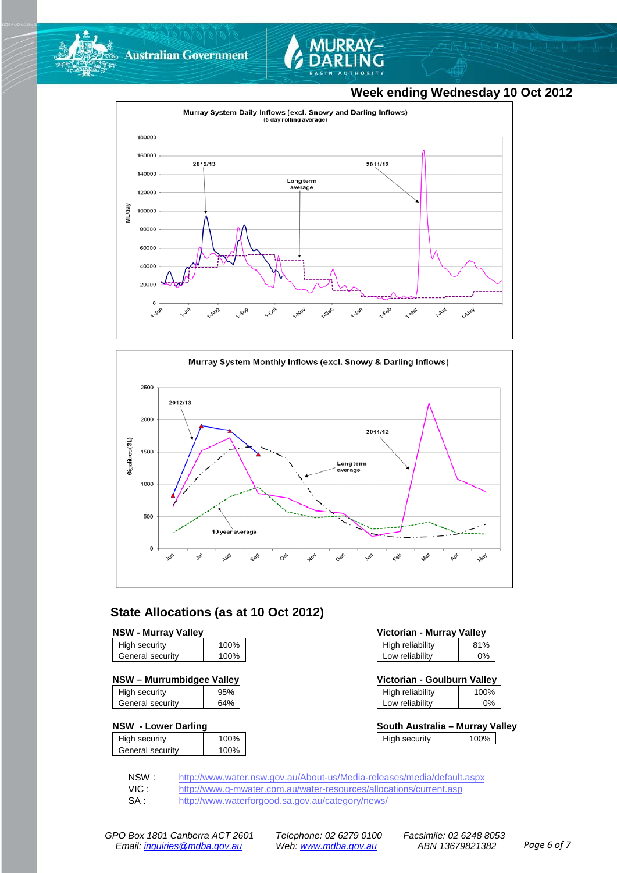



### **Week ending Wednesday 10 Oct 2012**





### **State Allocations (as at 10 Oct 2012)**

#### **NSW - Murray Valley**

| High security    | 100% |
|------------------|------|
| General security | 100% |
|                  |      |

| High security    | 95% |
|------------------|-----|
| General security | 64% |
|                  |     |

#### **NSW - Lower Darling**

| High security    | 100% |
|------------------|------|
|                  |      |
| General security | 100% |
|                  |      |

| Victorian - Murray Valley |     |  |  |
|---------------------------|-----|--|--|
| High reliability          | 81% |  |  |
| Low reliability           | 0%  |  |  |

| NSW - Murrumbidgee Valley |     | Victorian - Goulburn Vallev |      |
|---------------------------|-----|-----------------------------|------|
| High security             | 95% | High reliability            | 100% |

| .               | .  |
|-----------------|----|
| Low reliability | 0% |
|                 |    |

| South Australia - Murray Valley |      |  |
|---------------------------------|------|--|
| High security                   | 100% |  |

NSW : <http://www.water.nsw.gov.au/About-us/Media-releases/media/default.aspx><br>VIC : http://www.g-mwater.com.au/water-resources/allocations/current.asp

VIC : <http://www.g-mwater.com.au/water-resources/allocations/current.asp><br>SA : http://www.waterforgood.sa.gov.au/category/news/

<http://www.waterforgood.sa.gov.au/category/news/>